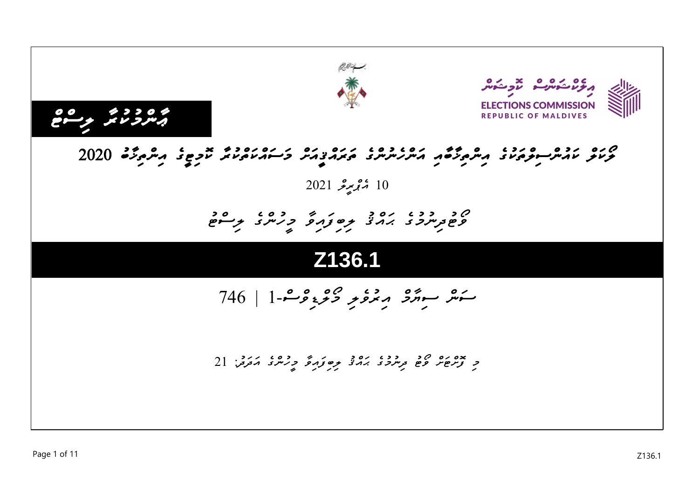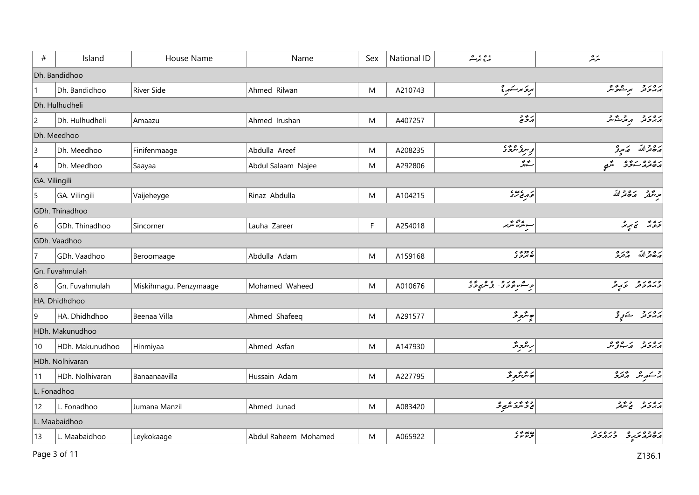| #             | Island          | House Name             | Name                 | Sex         | National ID | ، ه ، مره<br>د ، مرگ                         | ىئرىتر                                         |
|---------------|-----------------|------------------------|----------------------|-------------|-------------|----------------------------------------------|------------------------------------------------|
|               | Dh. Bandidhoo   |                        |                      |             |             |                                              |                                                |
|               | Dh. Bandidhoo   | River Side             | Ahmed Rilwan         | M           | A210743     | مرە ئىرىسىم كى                               | رەرد برىئوش                                    |
|               | Dh. Hulhudheli  |                        |                      |             |             |                                              |                                                |
| 2             | Dh. Hulhudheli  | Amaazu                 | Ahmed Irushan        | M           | A407257     | ەردىج                                        | גפיב גביבית                                    |
|               | Dh. Meedhoo     |                        |                      |             |             |                                              |                                                |
| 3             | Dh. Meedhoo     | Finifenmaage           | Abdulla Areef        | M           | A208235     | ار سرڈ مردی<br>سرز مردی                      | بره والله بريرو                                |
| 4             | Dh. Meedhoo     | Saayaa                 | Abdul Salaam Najee   | M           | A292806     | يەدىر                                        | ره وه روه<br>پر <i>ه تروگر</i> سگهي            |
| GA. Vilingili |                 |                        |                      |             |             |                                              |                                                |
| 5             | GA. Vilingili   | Vaijeheyge             | Rinaz Abdulla        | ${\sf M}$   | A104215     | <br>  تو مرقع رئ                             | مرتزقتر كانتحاقدالله                           |
|               | GDh. Thinadhoo  |                        |                      |             |             |                                              |                                                |
| 6             | GDh. Thinadhoo  | Sincorner              | Lauha Zareer         | $\mathsf F$ | A254018     | سومبرنا متزبر                                | تزوج تجيريز                                    |
|               | GDh. Vaadhoo    |                        |                      |             |             |                                              |                                                |
| 7             | GDh. Vaadhoo    | Beroomaage             | Abdulla Adam         | M           | A159168     | ړ دونو پر<br>ن <i>ن تر</i> تر <sub>ک</sub> ر | رەقراللە مەمرە                                 |
|               | Gn. Fuvahmulah  |                        |                      |             |             |                                              |                                                |
| 8             | Gn. Fuvahmulah  | Miskihmagu. Penzymaage | Mohamed Waheed       | M           | A010676     | و شرودون و مه و و و                          | ورەرو رېږو                                     |
|               | HA. Dhidhdhoo   |                        |                      |             |             |                                              |                                                |
| 9             | HA. Dhidhdhoo   | Beenaa Villa           | Ahmed Shafeeq        | M           | A291577     | جو مٿر وڱر                                   | رەرو شروپى                                     |
|               | HDh. Makunudhoo |                        |                      |             |             |                                              |                                                |
| $ 10\rangle$  | HDh. Makunudhoo | Hinmiyaa               | Ahmed Asfan          | M           | A147930     | ىر مىگرىزىگە                                 | رەرد رەپەر                                     |
|               | HDh. Nolhivaran |                        |                      |             |             |                                              |                                                |
| 11            | HDh. Nolhivaran | Banaanaavilla          | Hussain Adam         | ${\sf M}$   | A227795     | ە ئەرتىرىدۇ.                                 | جر شهر مدارد و بر در حر                        |
| L. Fonadhoo   |                 |                        |                      |             |             |                                              |                                                |
| 12            | L. Fonadhoo     | Jumana Manzil          | Ahmed Junad          | M           | A083420     | <i>د په پرهمن</i> ې څر                       | رەر دېرى<br>مەردىر <mark>ي</mark> ىترىر        |
|               | L. Maabaidhoo   |                        |                      |             |             |                                              |                                                |
| $ 13\rangle$  | L. Maabaidhoo   | Leykokaage             | Abdul Raheem Mohamed | M           | A065922     | در بر بر بر<br>مو <sup>ر</sup> د مرکز        | נס כסנים ניסניב<br>גיש <i>נגיגי</i> ב בייגב נג |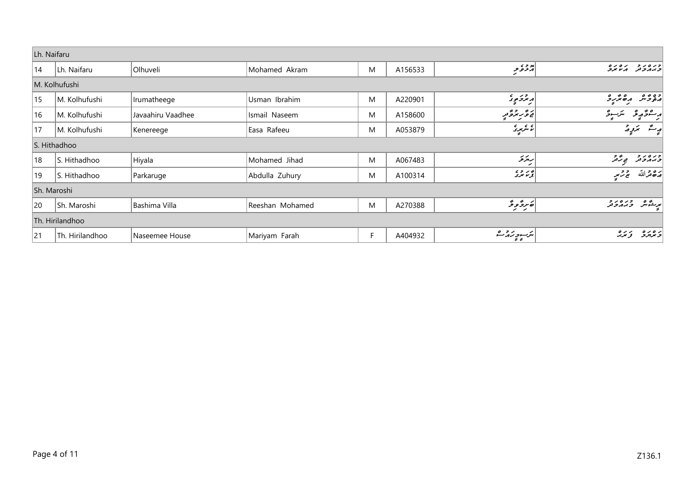| Lh. Naifaru |                 |                   |                 |   |         |                                 |                                    |
|-------------|-----------------|-------------------|-----------------|---|---------|---------------------------------|------------------------------------|
| 14          | Lh. Naifaru     | Olhuveli          | Mohamed Akram   | M | A156533 | لدوء<br>مروغرمر                 | و رە ر د<br>تر پر پر تر<br>برە برە |
|             | M. Kolhufushi   |                   |                 |   |         |                                 |                                    |
| 15          | M. Kolhufushi   | Irumatheege       | Usman Ibrahim   | M | A220901 | بر تر د ځو د                    |                                    |
| 16          | M. Kolhufushi   | Javaahiru Vaadhee | Ismail Naseem   | M | A158600 | ئے قرىر ترقى مىر                | ىر مەئىر تەرى <i>ج</i><br>سرسود    |
| 17          | M. Kolhufushi   | Kenereege         | Easa Rafeeu     | M | A053879 | ى ئەيدى<br>مامىرىيە             | پر سگ ہے کرو پر                    |
|             | S. Hithadhoo    |                   |                 |   |         |                                 |                                    |
| 18          | S. Hithadhoo    | Hiyala            | Mohamed Jihad   | M | A067483 | رىزى                            | دره در و پرتر                      |
| 19          | S. Hithadhoo    | Parkaruge         | Abdulla Zuhury  | M | A100314 | پور چەر<br>  بۇ ئەسمەي          | رَة قرالله تح ترسيه                |
|             | Sh. Maroshi     |                   |                 |   |         |                                 |                                    |
| 20          | Sh. Maroshi     | Bashima Villa     | Reeshan Mohamed | M | A270388 | خامرځرمونځه                     | برنسگانگر از ۱۳۶٬۰۶۷               |
|             | Th. Hirilandhoo |                   |                 |   |         |                                 |                                    |
| 21          | Th. Hirilandhoo | Naseemee House    | Mariyam Farah   | F | A404932 | ىئەسى <i>رە ئەم</i> رىشە<br>s s | ر ه ر ه<br>ترىز پر                 |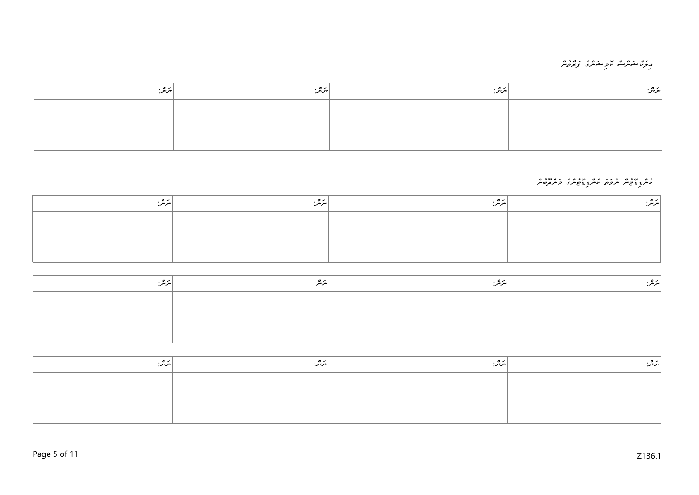## *w7qAn8m?sCw7mRo>u;wEw7mRw;sBo<*

| ' مرمر | 'يئرىثر: |
|--------|----------|
|        |          |
|        |          |
|        |          |

## *w7q9r@w7m>sCw7qHtFoFw7s;mAm=q7w7qHtFoFw7s;*

| ىر تە | $\mathcal{O} \times$<br>$\sim$ | $\sim$<br>. . | لترنثر |
|-------|--------------------------------|---------------|--------|
|       |                                |               |        |
|       |                                |               |        |
|       |                                |               |        |

| $\frac{2}{n}$ | $\overline{\phantom{a}}$ | اير هنه. | $\mathcal{O} \times$<br>سرسر |
|---------------|--------------------------|----------|------------------------------|
|               |                          |          |                              |
|               |                          |          |                              |
|               |                          |          |                              |

| ' ئىرتىر: | سر سر |  |
|-----------|-------|--|
|           |       |  |
|           |       |  |
|           |       |  |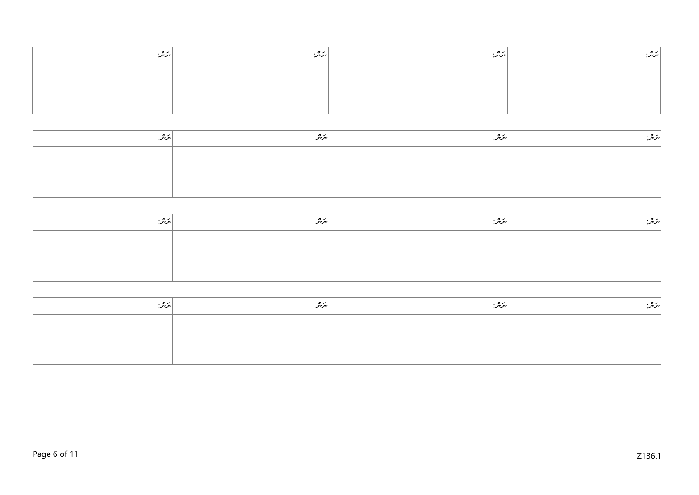| يره. | ο. | ا ير ه |  |
|------|----|--------|--|
|      |    |        |  |
|      |    |        |  |
|      |    |        |  |

| <sup>.</sup> سرسر. |  |
|--------------------|--|
|                    |  |
|                    |  |
|                    |  |

| ىئرىتر. | $\sim$ | ا بر هه. | لىرىش |
|---------|--------|----------|-------|
|         |        |          |       |
|         |        |          |       |
|         |        |          |       |

| $\overline{\phantom{a}}$<br>سرس. | ر ه<br>,,, | . . | 。<br>سرس. |
|----------------------------------|------------|-----|-----------|
|                                  |            |     |           |
|                                  |            |     |           |
|                                  |            |     |           |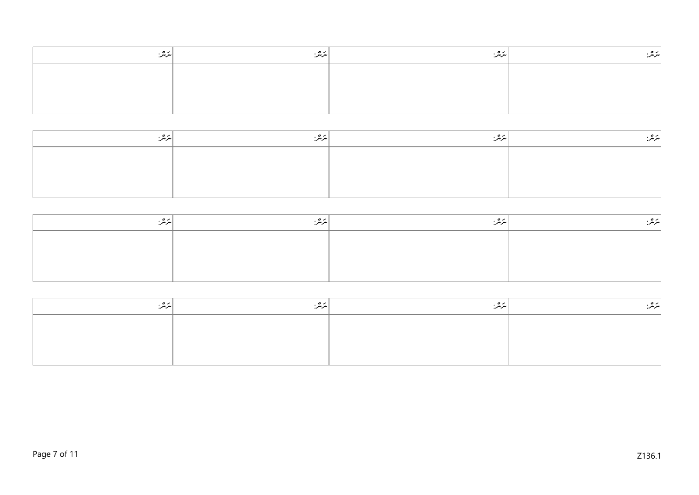| ير هو . | $\overline{\phantom{a}}$ | يرمر | اير هنه. |
|---------|--------------------------|------|----------|
|         |                          |      |          |
|         |                          |      |          |
|         |                          |      |          |

| ئىرتىر: | $\sim$<br>ا سرسر . | يئرمثر | o . |
|---------|--------------------|--------|-----|
|         |                    |        |     |
|         |                    |        |     |
|         |                    |        |     |

| 'تترنثر: | 。<br>,,,, |  |
|----------|-----------|--|
|          |           |  |
|          |           |  |
|          |           |  |

|  | . ه |
|--|-----|
|  |     |
|  |     |
|  |     |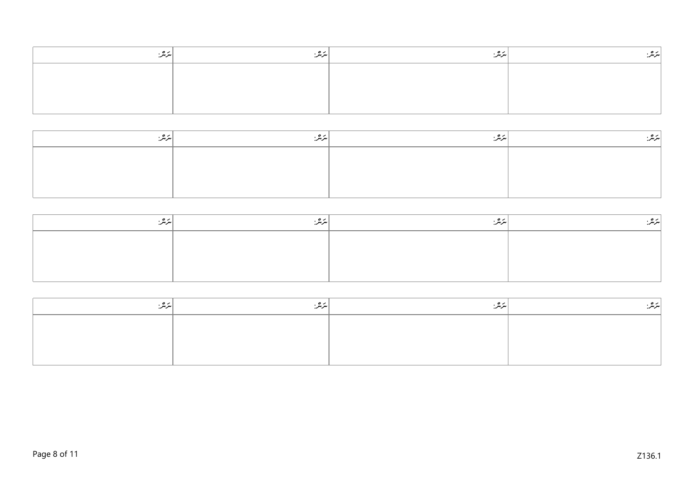| ير هو . | $\overline{\phantom{a}}$ | يرمر | اير هنه. |
|---------|--------------------------|------|----------|
|         |                          |      |          |
|         |                          |      |          |
|         |                          |      |          |

| ىر تىر: | $\circ$ $\sim$<br>" سرسر . | يترمير | o . |
|---------|----------------------------|--------|-----|
|         |                            |        |     |
|         |                            |        |     |
|         |                            |        |     |

| 'تترنثر: | 。<br>,,,, |  |
|----------|-----------|--|
|          |           |  |
|          |           |  |
|          |           |  |

|  | . ه |
|--|-----|
|  |     |
|  |     |
|  |     |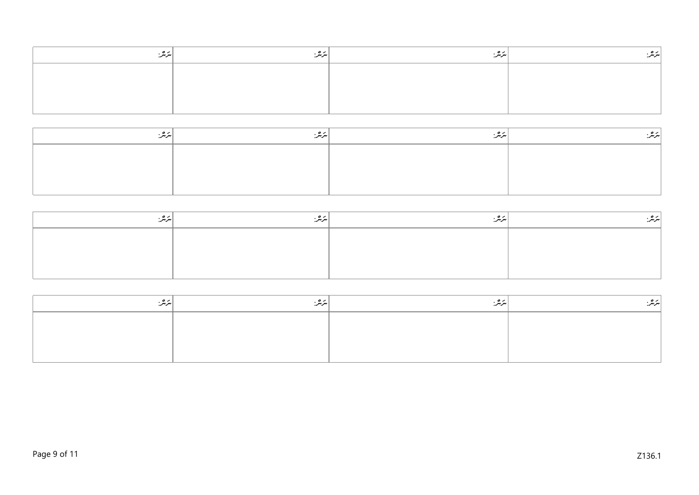| $\cdot$ | 。 | $\frac{\circ}{\cdot}$ | $\sim$<br>سرسر |
|---------|---|-----------------------|----------------|
|         |   |                       |                |
|         |   |                       |                |
|         |   |                       |                |

| يريثن | ' سرسر . |  |
|-------|----------|--|
|       |          |  |
|       |          |  |
|       |          |  |

| ؞؞ | .<br>$\tilde{}$ | . ه<br>سرسر. |
|----|-----------------|--------------|
|    |                 |              |
|    |                 |              |
|    |                 |              |

| 。<br>. س | ىرىىر |  |
|----------|-------|--|
|          |       |  |
|          |       |  |
|          |       |  |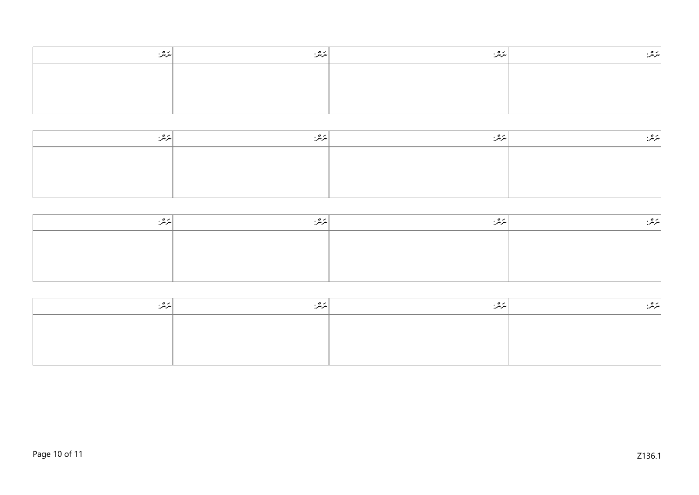| ير هو . | $\overline{\phantom{a}}$ | يرمر | اير هنه. |
|---------|--------------------------|------|----------|
|         |                          |      |          |
|         |                          |      |          |
|         |                          |      |          |

| ئىرتىر: | $\sim$<br>ا سرسر . | يئرمثر | o . |
|---------|--------------------|--------|-----|
|         |                    |        |     |
|         |                    |        |     |
|         |                    |        |     |

| لترتكر: | الترنثر: | ابر همه: | الترنثر: |
|---------|----------|----------|----------|
|         |          |          |          |
|         |          |          |          |
|         |          |          |          |

|  | . ه |
|--|-----|
|  |     |
|  |     |
|  |     |